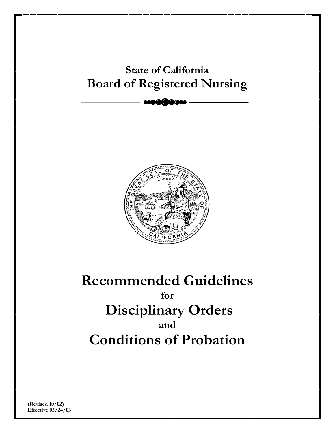# Doard of Registered Ivursing **State of California Board of Registered Nursing**



# **Recommended Guidelines for Disciplinary Orders and Conditions of Probation**

**(Revised 10/02) Effective 05/24/03**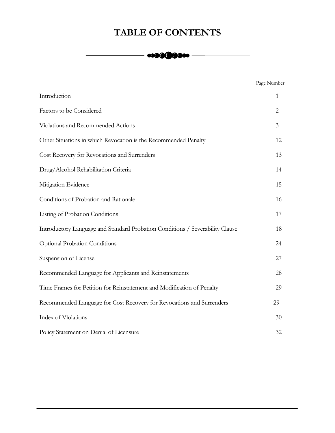# **TABLE OF CONTENTS**

# $\begin{array}{c} \hline \begin{array}{c} \hline \end{array} \end{array}$

| Page Number |
|-------------|
|             |

| Introduction                                                                  | $\mathbf{1}$ |
|-------------------------------------------------------------------------------|--------------|
| Factors to be Considered                                                      | $\mathbf{2}$ |
| Violations and Recommended Actions                                            | 3            |
| Other Situations in which Revocation is the Recommended Penalty               | 12           |
| Cost Recovery for Revocations and Surrenders                                  | 13           |
| Drug/Alcohol Rehabilitation Criteria                                          | 14           |
| Mitigation Evidence                                                           | 15           |
| Conditions of Probation and Rationale                                         | 16           |
| Listing of Probation Conditions                                               | 17           |
| Introductory Language and Standard Probation Conditions / Severability Clause | 18           |
| <b>Optional Probation Conditions</b>                                          | 24           |
| Suspension of License                                                         | 27           |
| Recommended Language for Applicants and Reinstatements                        | 28           |
| Time Frames for Petition for Reinstatement and Modification of Penalty        | 29           |
| Recommended Language for Cost Recovery for Revocations and Surrenders         | 29           |
| Index of Violations                                                           | 30           |
| Policy Statement on Denial of Licensure                                       | 32           |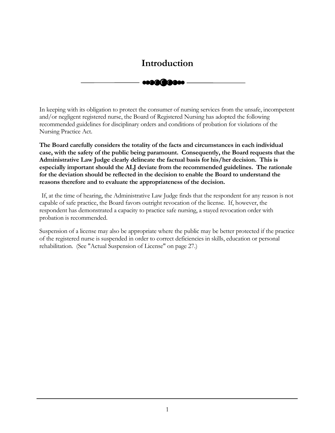# <span id="page-2-0"></span>------......... ------ **Introduction**

In keeping with its obligation to protect the consumer of nursing services from the unsafe, incompetent and/or negligent registered nurse, the Board of Registered Nursing has adopted the following recommended guidelines for disciplinary orders and conditions of probation for violations of the Nursing Practice Act.

**The Board carefully considers the totality of the facts and circumstances in each individual case, with the safety of the public being paramount. Consequently, the Board requests that the Administrative Law Judge clearly delineate the factual basis for his/her decision. This is especially important should the ALJ deviate from the recommended guidelines. The rationale for the deviation should be reflected in the decision to enable the Board to understand the reasons therefore and to evaluate the appropriateness of the decision.** 

If, at the time of hearing, the Administrative Law Judge finds that the respondent for any reason is not capable of safe practice, the Board favors outright revocation of the license. If, however, the respondent has demonstrated a capacity to practice safe nursing, a stayed revocation order with probation is recommended.

Suspension of a license may also be appropriate where the public may be better protected if the practice of the registered nurse is suspended in order to correct deficiencies in skills, education or personal rehabilitation. (See "Actual Suspension of License" on page 27.)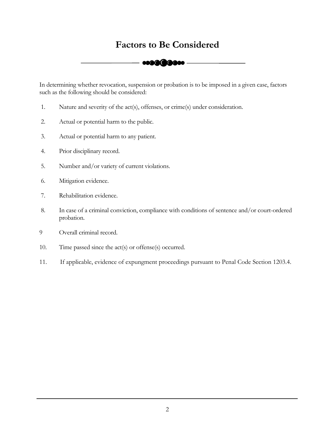# <span id="page-3-0"></span>Factors to Be Considered<br> **CONSIDER CONSIDER AND CONSIDER**



In determining whether revocation, suspension or probation is to be imposed in a given case, factors such as the following should be considered:

- 1. Nature and severity of the act(s), offenses, or crime(s) under consideration.
- 2. Actual or potential harm to the public.
- 3. Actual or potential harm to any patient.
- 4. Prior disciplinary record.
- 5. Number and/or variety of current violations.
- 6. Mitigation evidence.
- 7. Rehabilitation evidence.
- 8. In case of a criminal conviction, compliance with conditions of sentence and/or court-ordered probation.
- 9 Overall criminal record.
- 10. Time passed since the act(s) or offense(s) occurred.
- 11. If applicable, evidence of expungment proceedings pursuant to Penal Code Section 1203.4.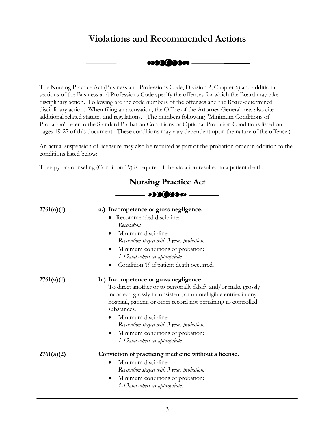# **Violations and Recommended Actions**



<span id="page-4-0"></span>The Nursing Practice Act (Business and Professions Code, Division 2, Chapter 6) and additional sections of the Business and Professions Code specify the offenses for which the Board may take disciplinary action. Following are the code numbers of the offenses and the Board-determined disciplinary action. When filing an accusation, the Office of the Attorney General may also cite additional related statutes and regulations. (The numbers following "Minimum Conditions of Probation" refer to the Standard Probation Conditions or Optional Probation Conditions listed on pages 19-27 of this document. These conditions may vary dependent upon the nature of the offense.)

An actual suspension of licensure may also be required as part of the probation order in addition to the conditions listed below:

Therapy or counseling (Condition 19) is required if the violation resulted in a patient death.

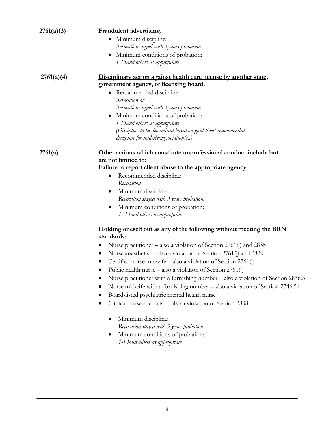<span id="page-5-0"></span>

| 2761(a)(3) | Fraudulent advertising.                                                          |
|------------|----------------------------------------------------------------------------------|
|            | Minimum discipline:<br>$\bullet$                                                 |
|            | Revocation stayed with 3 years probation.                                        |
|            | Minimum conditions of probation:                                                 |
|            | 1-13 and others as appropriate.                                                  |
| 2761(a)(4) | Disciplinary action against health care license by another state,                |
|            | government agency, or licensing board.                                           |
|            | • Recommended discipline                                                         |
|            | Revocation or                                                                    |
|            | Revocation stayed with 3 years probation                                         |
|            | Minimum conditions of probation:<br>$\bullet$                                    |
|            | 1-13 and others as appropriate                                                   |
|            | (Discipline to be determined based on guidelines' recommended                    |
|            | $discpline$ for underlying violation(s).)                                        |
| 2761(a)    | Other actions which constitute unprofessional conduct include but                |
|            | are not limited to:                                                              |
|            | Failure to report client abuse to the appropriate agency.                        |
|            | Recommended discipline:<br>$\bullet$                                             |
|            | Revocation                                                                       |
|            | Minimum discipline:<br>$\bullet$                                                 |
|            | Revocation stayed with 3 years probation.                                        |
|            | Minimum conditions of probation:<br>$\bullet$                                    |
|            | 1-13 and others as appropriate.                                                  |
|            | Holding oneself out as any of the following without meeting the BRN              |
|            | standards:                                                                       |
|            | Nurse practitioner – also a violation of Section 2761(j) and 2835                |
|            | Nurse an esthetist – also a violation of Section 2761(j) and 2829                |
|            | Certified nurse midwife – also a violation of Section 2761(j)<br>٠               |
|            | Public health nurse – also a violation of Section 2761(j)                        |
|            | Nurse practitioner with a furnishing number – also a violation of Section 2836.3 |
|            | Nurse midwife with a furnishing number - also a violation of Section 2746.51     |
|            | Board-listed psychiatric mental health nurse                                     |
|            | Clinical nurse specialist - also a violation of Section 2838<br>٠                |
|            |                                                                                  |
|            | Minimum discipline:                                                              |
|            | Revocation stayed with 3 years probation.                                        |
|            | Minimum conditions of probation:                                                 |
|            | 1-13 and others as appropriate                                                   |
|            |                                                                                  |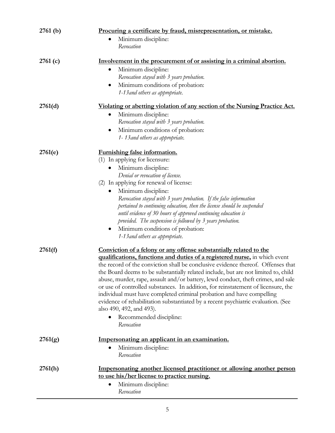<span id="page-6-0"></span>

| 2761(b) | Procuring a certificate by fraud, misrepresentation, or mistake.<br>Minimum discipline:<br>٠<br>Revocation                                                                                                                                                                                                                                                                                                                                                                                                                                                                                                                                                                                                                                           |
|---------|------------------------------------------------------------------------------------------------------------------------------------------------------------------------------------------------------------------------------------------------------------------------------------------------------------------------------------------------------------------------------------------------------------------------------------------------------------------------------------------------------------------------------------------------------------------------------------------------------------------------------------------------------------------------------------------------------------------------------------------------------|
| 2761(c) | Involvement in the procurement of or assisting in a criminal abortion.<br>Minimum discipline:<br>$\bullet$<br>Revocation stayed with 3 years probation.<br>Minimum conditions of probation:<br>$\bullet$<br>1-13 and others as appropriate.                                                                                                                                                                                                                                                                                                                                                                                                                                                                                                          |
| 2761(d) | Violating or abetting violation of any section of the Nursing Practice Act.<br>Minimum discipline:<br>$\bullet$<br>Revocation stayed with 3 years probation.<br>Minimum conditions of probation:<br>$\bullet$<br>1-13 and others as appropriate.                                                                                                                                                                                                                                                                                                                                                                                                                                                                                                     |
| 2761(e) | <b>Furnishing false information.</b><br>(1) In applying for licensure:<br>Minimum discipline:<br>Denial or revocation of license.<br>(2) In applying for renewal of license:<br>Minimum discipline:<br>$\bullet$<br>Revocation stayed with 3 years probation. If the false information<br>pertained to continuing education, then the license should be suspended<br>until evidence of 30 hours of approved continuing education is<br>provided. The suspension is followed by 3 years probation.<br>Minimum conditions of probation:<br>$\bullet$<br>1-13 and others as appropriate.                                                                                                                                                                |
| 2761(f) | Conviction of a felony or any offense substantially related to the<br>qualifications, functions and duties of a registered nurse, in which event<br>the record of the conviction shall be conclusive evidence thereof. Offenses that<br>the Board deems to be substantially related include, but are not limited to, child<br>abuse, murder, rape, assault and/or battery, lewd conduct, theft crimes, and sale<br>or use of controlled substances. In addition, for reinstatement of licensure, the<br>individual must have completed criminal probation and have compelling<br>evidence of rehabilitation substantiated by a recent psychiatric evaluation. (See<br>also 490, 492, and 493).<br>Recommended discipline:<br>$\bullet$<br>Revocation |
| 2761(g) | Impersonating an applicant in an examination.<br>Minimum discipline:<br>Revocation                                                                                                                                                                                                                                                                                                                                                                                                                                                                                                                                                                                                                                                                   |
| 2761(h) | Impersonating another licensed practitioner or allowing another person<br>to use his/her license to practice nursing.<br>Minimum discipline:<br>$\bullet$<br>Revocation                                                                                                                                                                                                                                                                                                                                                                                                                                                                                                                                                                              |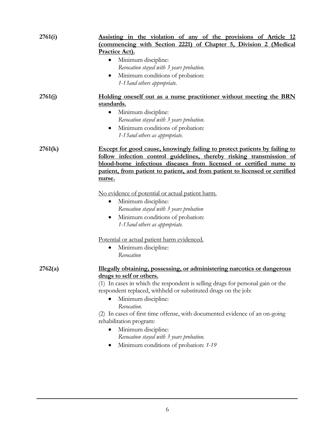<span id="page-7-0"></span>

| 2761(i) | Assisting in the violation of any of the provisions of Article 12<br>(commencing with Section 2221) of Chapter 5, Division 2 (Medical<br><b>Practice Act).</b><br>Minimum discipline:<br>٠<br>Revocation stayed with 3 years probation.<br>Minimum conditions of probation:<br>$\bullet$<br>1-13 and others appropriate.                                                                                                                                                                                                                                                                                                                    |
|---------|---------------------------------------------------------------------------------------------------------------------------------------------------------------------------------------------------------------------------------------------------------------------------------------------------------------------------------------------------------------------------------------------------------------------------------------------------------------------------------------------------------------------------------------------------------------------------------------------------------------------------------------------|
| 2761(i) | Holding oneself out as a nurse practitioner without meeting the BRN<br>standards.<br>Minimum discipline:<br>$\bullet$<br>Revocation stayed with 3 years probation.<br>Minimum conditions of probation:<br>1-13 and others as appropriate.                                                                                                                                                                                                                                                                                                                                                                                                   |
| 2761(k) | Except for good cause, knowingly failing to protect patients by failing to<br>follow infection control guidelines, thereby risking transmission of<br>blood-borne infectious diseases from licensed or certified nurse to<br>patient, from patient to patient, and from patient to licensed or certified<br>nurse.<br>No evidence of potential or actual patient harm.<br>Minimum discipline:<br>$\bullet$<br>Revocation stayed with 3 years probation<br>Minimum conditions of probation:<br>$\bullet$<br>1-13 and others as appropriate.<br>Potential or actual patient harm evidenced.<br>Minimum discipline:<br>$\bullet$<br>Revocation |
| 2762(a) | <u>Illegally obtaining, possessing, or administering narcotics or dangerous</u><br>drugs to self or others.<br>(1) In cases in which the respondent is selling drugs for personal gain or the<br>respondent replaced, withheld or substituted drugs on the job:<br>Minimum discipline:<br>Revocation.<br>(2) In cases of first time offense, with documented evidence of an on-going<br>rehabilitation program:<br>Minimum discipline:<br>Revocation stayed with 3 years probation.<br>Minimum conditions of probation: 1-19                                                                                                                |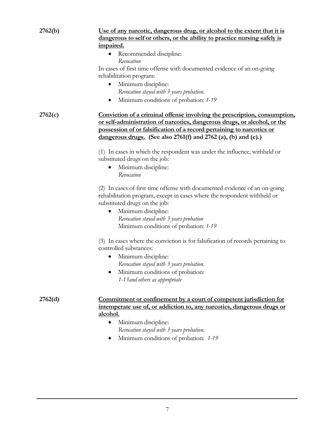<span id="page-8-0"></span>

| 2762(b) | Use of any narcotic, dangerous drug, or alcohol to the extent that it is                                                                                                                                                                                                                             |
|---------|------------------------------------------------------------------------------------------------------------------------------------------------------------------------------------------------------------------------------------------------------------------------------------------------------|
|         | <u>dangerous to self or others, or the ability to practice nursing safely is</u>                                                                                                                                                                                                                     |
|         | impaired.                                                                                                                                                                                                                                                                                            |
|         | Recommended discipline:                                                                                                                                                                                                                                                                              |
|         | Revocation                                                                                                                                                                                                                                                                                           |
|         | In cases of first time offense with documented evidence of an on-going                                                                                                                                                                                                                               |
|         | rehabilitation program:                                                                                                                                                                                                                                                                              |
|         | Minimum discipline:<br>$\bullet$                                                                                                                                                                                                                                                                     |
|         | Revocation stayed with 3 years probation.                                                                                                                                                                                                                                                            |
|         | Minimum conditions of probation: 1-19<br>$\bullet$                                                                                                                                                                                                                                                   |
| 2762(c) | Conviction of a criminal offense involving the prescription, consumption,<br>or self-administration of narcotics, dangerous drugs, or alcohol, or the<br>possession of or falsification of a record pertaining to narcotics or<br>dangerous drugs. (See also $2761(f)$ and $2762$ (a), (b) and (e).) |
|         | (1) In cases in which the respondent was under the influence, withheld or                                                                                                                                                                                                                            |
|         | substituted drugs on the job:                                                                                                                                                                                                                                                                        |
|         | Minimum discipline:                                                                                                                                                                                                                                                                                  |
|         | Revocation                                                                                                                                                                                                                                                                                           |
|         | (2) In cases of first time offense with documented evidence of an on-going                                                                                                                                                                                                                           |
|         | rehabilitation program, except in cases where the respondent withheld or                                                                                                                                                                                                                             |
|         | substituted drugs on the job:                                                                                                                                                                                                                                                                        |
|         | Minimum discipline:<br>$\bullet$                                                                                                                                                                                                                                                                     |
|         | Revocation stayed with 3 years probation                                                                                                                                                                                                                                                             |
|         | Minimum conditions of probation: 1-19                                                                                                                                                                                                                                                                |
|         | (3) In cases where the conviction is for falsification of records pertaining to<br>controlled substances:                                                                                                                                                                                            |
|         | Minimum discipline:<br>$\bullet$                                                                                                                                                                                                                                                                     |
|         | Revocation stayed with 3 years probation.                                                                                                                                                                                                                                                            |
|         | Minimum conditions of probation:                                                                                                                                                                                                                                                                     |
|         | 1-13 and others as appropriate                                                                                                                                                                                                                                                                       |
| 2762(d) | Commitment or confinement by a court of competent jurisdiction for<br>intemperate use of, or addiction to, any narcotics, dangerous drugs or                                                                                                                                                         |
|         | alcohol.                                                                                                                                                                                                                                                                                             |
|         | Minimum discipline:<br>$\bullet$                                                                                                                                                                                                                                                                     |
|         | Revocation stayed with 3 years probation.                                                                                                                                                                                                                                                            |
|         | Minimum conditions of probation: 1-19                                                                                                                                                                                                                                                                |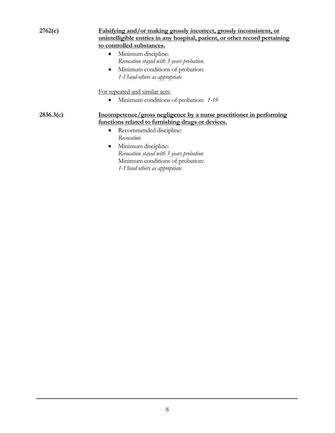<span id="page-9-0"></span>

| 2762(e)   | Falsifying and/or making grossly incorrect, grossly inconsistent, or<br>unintelligible entries in any hospital, patient, or other record pertaining<br>to controlled substances.<br>Minimum discipline:<br>$\bullet$<br>Revocation stayed with 3 years probation.<br>Minimum conditions of probation:<br>$\bullet$<br>1-13 and others as appropriate |
|-----------|------------------------------------------------------------------------------------------------------------------------------------------------------------------------------------------------------------------------------------------------------------------------------------------------------------------------------------------------------|
|           | For repeated and similar acts:                                                                                                                                                                                                                                                                                                                       |
|           | Minimum conditions of probation: 1-19<br>$\bullet$                                                                                                                                                                                                                                                                                                   |
| 2836.3(c) | Incompetence/gross negligence by a nurse practitioner in performing<br>functions related to furnishing drugs or devices.                                                                                                                                                                                                                             |
|           | Recommended discipline:<br>٠<br>Revocation<br>Minimum discipline:<br>Revocation stayed with 3 years probation<br>Minimum conditions of probation:<br>1-13 and others as appropriate                                                                                                                                                                  |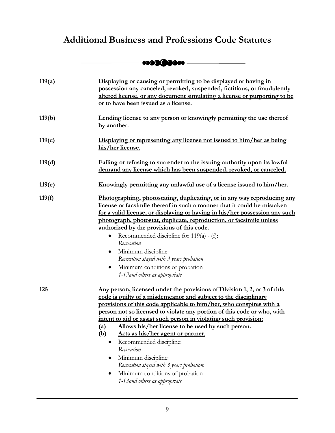# <span id="page-10-0"></span>**Additional Business and Professions Code Statutes**

# ------......... ------

| 119(a) | Displaying or causing or permitting to be displayed or having in<br>possession any canceled, revoked, suspended, fictitious, or fraudulently<br>altered license, or any document simulating a license or purporting to be<br>or to have been issued as a license.                                                                                                                                                                                                                                                                                                                                                                                                                                   |
|--------|-----------------------------------------------------------------------------------------------------------------------------------------------------------------------------------------------------------------------------------------------------------------------------------------------------------------------------------------------------------------------------------------------------------------------------------------------------------------------------------------------------------------------------------------------------------------------------------------------------------------------------------------------------------------------------------------------------|
| 119(b) | Lending license to any person or knowingly permitting the use thereof<br>by another.                                                                                                                                                                                                                                                                                                                                                                                                                                                                                                                                                                                                                |
| 119(c) | Displaying or representing any license not issued to him/her as being<br>his/her license.                                                                                                                                                                                                                                                                                                                                                                                                                                                                                                                                                                                                           |
| 119(d) | Failing or refusing to surrender to the issuing authority upon its lawful<br>demand any license which has been suspended, revoked, or canceled.                                                                                                                                                                                                                                                                                                                                                                                                                                                                                                                                                     |
| 119(e) | <u>Knowingly permitting any unlawful use of a license issued to him/her.</u>                                                                                                                                                                                                                                                                                                                                                                                                                                                                                                                                                                                                                        |
| 119(f) | Photographing, photostating, duplicating, or in any way reproducing any<br>license or facsimile thereof in such a manner that it could be mistaken<br>for a valid license, or displaying or having in his/her possession any such<br>photograph, photostat, duplicate, reproduction, or facsimile unless<br>authorized by the provisions of this code.<br>Recommended discipline for $119(a) - (f)$ :<br>$\bullet$<br>Revocation<br>Minimum discipline:<br>$\bullet$<br>Revocation stayed with 3 years probation<br>Minimum conditions of probation<br>$\bullet$<br>1-13 and others as appropriate                                                                                                  |
| 125    | Any person, licensed under the provisions of Division 1, 2, or 3 of this<br>code is guilty of a misdemeanor and subject to the disciplinary<br>provisions of this code applicable to him/her, who conspires with a<br>person not so licensed to violate any portion of this code or who, with<br>intent to aid or assist such person in violating such provision:<br>Allows his/her license to be used by such person.<br>$\left( a\right)$<br>Acts as his/her agent or partner.<br>(b)<br>Recommended discipline:<br>$\bullet$<br>Revocation<br>Minimum discipline:<br>Revocation stayed with 3 years probation:<br>Minimum conditions of probation<br>$\bullet$<br>1-13 and others as appropriate |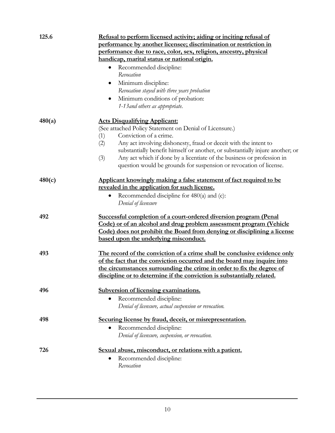<span id="page-11-0"></span>

| 125.6  | Refusal to perform licensed activity; aiding or inciting refusal of                             |  |  |
|--------|-------------------------------------------------------------------------------------------------|--|--|
|        | performance by another licensee; discrimination or restriction in                               |  |  |
|        | performance due to race, color, sex, religion, ancestry, physical                               |  |  |
|        | handicap, marital status or national origin.                                                    |  |  |
|        | Recommended discipline:                                                                         |  |  |
|        | Revocation                                                                                      |  |  |
|        | Minimum discipline:<br>$\bullet$                                                                |  |  |
|        | Revocation stayed with three years probation                                                    |  |  |
|        | Minimum conditions of probation:<br>$\bullet$                                                   |  |  |
|        | 1-13 and others as appropriate.                                                                 |  |  |
|        |                                                                                                 |  |  |
| 480(a) | <b>Acts Disqualifying Applicant:</b><br>(See attached Policy Statement on Denial of Licensure.) |  |  |
|        | Conviction of a crime.<br>(1)                                                                   |  |  |
|        | Any act involving dishonesty, fraud or deceit with the intent to<br>(2)                         |  |  |
|        | substantially benefit himself or another, or substantially injure another; or                   |  |  |
|        | (3)<br>Any act which if done by a licentiate of the business or profession in                   |  |  |
|        | question would be grounds for suspension or revocation of license.                              |  |  |
|        |                                                                                                 |  |  |
| 480(c) | Applicant knowingly making a false statement of fact required to be                             |  |  |
|        | revealed in the application for such license.                                                   |  |  |
|        | Recommended discipline for 480(a) and (c):                                                      |  |  |
|        | Denial of licensure                                                                             |  |  |
| 492    | Successful completion of a court-ordered diversion program (Penal                               |  |  |
|        | Code) or of an alcohol and drug problem assessment program (Vehicle                             |  |  |
|        | Code) does not prohibit the Board from denying or disciplining a license                        |  |  |
|        | based upon the underlying misconduct.                                                           |  |  |
|        |                                                                                                 |  |  |
| 493    | The record of the conviction of a crime shall be conclusive evidence only                       |  |  |
|        | of the fact that the conviction occurred and the board may inquire into                         |  |  |
|        | the circumstances surrounding the crime in order to fix the degree of                           |  |  |
|        | discipline or to determine if the conviction is substantially related.                          |  |  |
|        |                                                                                                 |  |  |
| 496    | Subversion of licensing examinations.                                                           |  |  |
|        | Recommended discipline:<br>$\bullet$                                                            |  |  |
|        | Denial of licensure, actual suspension or revocation.                                           |  |  |
| 498    | Securing license by fraud, deceit, or misrepresentation.                                        |  |  |
|        | Recommended discipline:<br>$\bullet$                                                            |  |  |
|        | Denial of licensure, suspension, or revocation.                                                 |  |  |
|        |                                                                                                 |  |  |
| 726    | Sexual abuse, misconduct, or relations with a patient.                                          |  |  |
|        | Recommended discipline:                                                                         |  |  |
|        | Revocation                                                                                      |  |  |
|        |                                                                                                 |  |  |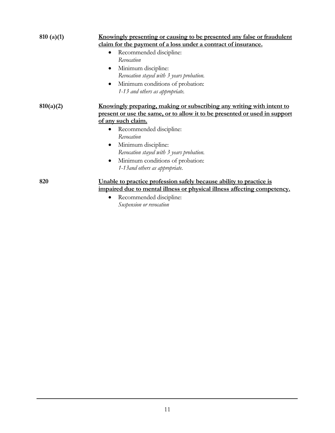<span id="page-12-0"></span>

| 810(a)(1) | Knowingly presenting or causing to be presented any false or fraudulent<br>claim for the payment of a loss under a contract of insurance.                  |
|-----------|------------------------------------------------------------------------------------------------------------------------------------------------------------|
|           | Recommended discipline:<br>Revocation                                                                                                                      |
|           | Minimum discipline:<br>$\bullet$                                                                                                                           |
|           | Revocation stayed with 3 years probation.<br>Minimum conditions of probation:<br>$\bullet$<br>1-13 and others as appropriate.                              |
| 810(a)(2) | <u>Knowingly preparing, making or subscribing any writing with intent to</u><br>present or use the same, or to allow it to be presented or used in support |
|           | of any such claim.                                                                                                                                         |
|           | Recommended discipline:                                                                                                                                    |
|           | Revocation                                                                                                                                                 |
|           | Minimum discipline:<br>$\bullet$                                                                                                                           |
|           | Revocation stayed with 3 years probation.                                                                                                                  |
|           | Minimum conditions of probation:                                                                                                                           |
|           | 1-13 and others as appropriate.                                                                                                                            |
| 820       | Unable to practice profession safely because ability to practice is                                                                                        |
|           | impaired due to mental illness or physical illness affecting competency.                                                                                   |
|           | Recommended discipline:                                                                                                                                    |
|           | Suspension or revocation                                                                                                                                   |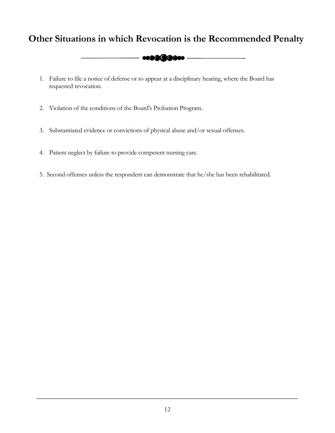# <span id="page-13-0"></span>**Other Situations in which Revocation is the Recommended Penalty**



- 1. Failure to file a notice of defense or to appear at a disciplinary hearing, where the Board has requested revocation.
- 2. Violation of the conditions of the Board's Probation Program.
- 3. Substantiated evidence or convictions of physical abuse and/or sexual offenses.
- 4. Patient neglect by failure to provide competent nursing care.
- 5. Second offenses unless the respondent can demonstrate that he/she has been rehabilitated.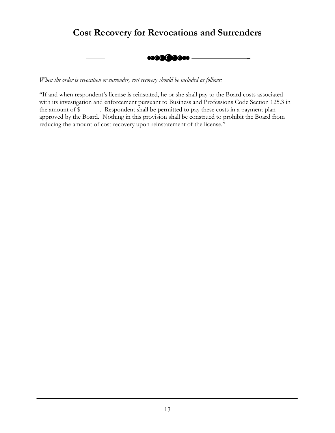# <span id="page-14-0"></span>**Cost Recovery for Revocations and Surrenders**

-------......... -------

*When the order is revocation or surrender, cost recovery should be included as follows:* 

"If and when respondent's license is reinstated, he or she shall pay to the Board costs associated with its investigation and enforcement pursuant to Business and Professions Code Section 125.3 in the amount of \$\_\_\_\_\_\_. Respondent shall be permitted to pay these costs in a payment plan approved by the Board. Nothing in this provision shall be construed to prohibit the Board from reducing the amount of cost recovery upon reinstatement of the license."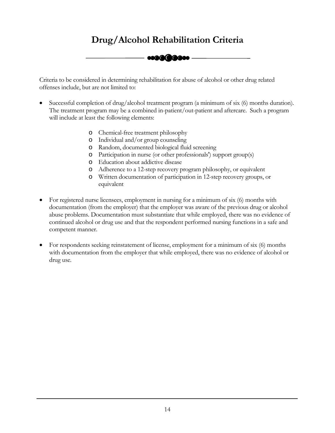# -------......... ------- **Drug/Alcohol Rehabilitation Criteria**

<span id="page-15-0"></span>Criteria to be considered in determining rehabilitation for abuse of alcohol or other drug related offenses include, but are not limited to:

- Successful completion of drug/alcohol treatment program (a minimum of six (6) months duration). The treatment program may be a combined in-patient/out-patient and aftercare. Such a program will include at least the following elements:
	- o Chemical-free treatment philosophy
	- o Individual and/or group counseling
	- o Random, documented biological fluid screening
	- o Participation in nurse (or other professionals') support group(s)
	- o Education about addictive disease
	- o Adherence to a 12-step recovery program philosophy, or equivalent
	- o Written documentation of participation in 12-step recovery groups, or equivalent
- For registered nurse licensees, employment in nursing for a minimum of six (6) months with documentation (from the employer) that the employer was aware of the previous drug or alcohol abuse problems. Documentation must substantiate that while employed, there was no evidence of continued alcohol or drug use and that the respondent performed nursing functions in a safe and competent manner.
- For respondents seeking reinstatement of license, employment for a minimum of six (6) months with documentation from the employer that while employed, there was no evidence of alcohol or drug use.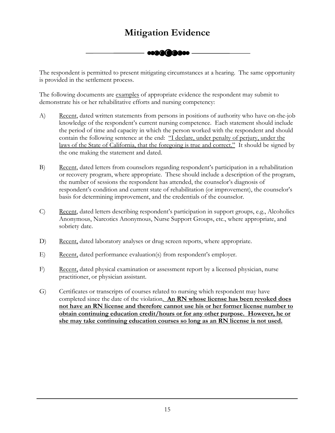# ------......... ------ **Mitigation Evidence**

<span id="page-16-0"></span>The respondent is permitted to present mitigating circumstances at a hearing. The same opportunity is provided in the settlement process.

The following documents are examples of appropriate evidence the respondent may submit to demonstrate his or her rehabilitative efforts and nursing competency:

- A) Recent, dated written statements from persons in positions of authority who have on-the-job knowledge of the respondent's current nursing competence. Each statement should include the period of time and capacity in which the person worked with the respondent and should contain the following sentence at the end: "I declare, under penalty of perjury, under the laws of the State of California, that the foregoing is true and correct." It should be signed by the one making the statement and dated.
- B) Recent, dated letters from counselors regarding respondent's participation in a rehabilitation or recovery program, where appropriate. These should include a description of the program, the number of sessions the respondent has attended, the counselor's diagnosis of respondent's condition and current state of rehabilitation (or improvement), the counselor's basis for determining improvement, and the credentials of the counselor.
- C) Recent, dated letters describing respondent's participation in support groups, e.g., Alcoholics Anonymous, Narcotics Anonymous, Nurse Support Groups, etc., where appropriate, and sobriety date.
- D) Recent, dated laboratory analyses or drug screen reports, where appropriate.
- E) Recent, dated performance evaluation(s) from respondent's employer.
- F) Recent, dated physical examination or assessment report by a licensed physician, nurse practitioner, or physician assistant.
- G) Certificates or transcripts of courses related to nursing which respondent may have completed since the date of the violation. **An RN whose license has been revoked does not have an RN license and therefore cannot use his or her former license number to obtain continuing education credit/hours or for any other purpose. However, he or she may take continuing education courses so long as an RN license is not used.**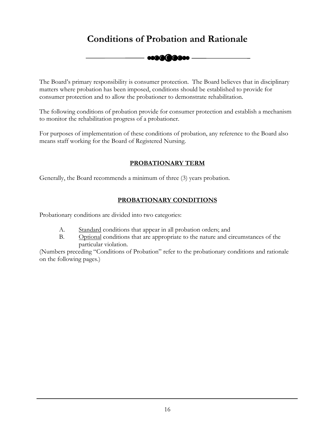# $-$ **Conditions of Probation and Rationale**

<span id="page-17-0"></span>The Board's primary responsibility is consumer protection. The Board believes that in disciplinary matters where probation has been imposed, conditions should be established to provide for consumer protection and to allow the probationer to demonstrate rehabilitation.

The following conditions of probation provide for consumer protection and establish a mechanism to monitor the rehabilitation progress of a probationer.

For purposes of implementation of these conditions of probation, any reference to the Board also means staff working for the Board of Registered Nursing.

# **PROBATIONARY TERM**

Generally, the Board recommends a minimum of three (3) years probation.

## **PROBATIONARY CONDITIONS**

Probationary conditions are divided into two categories:

- A. Standard conditions that appear in all probation orders; and
- B. Optional conditions that are appropriate to the nature and circumstances of the particular violation.

(Numbers preceding "Conditions of Probation" refer to the probationary conditions and rationale on the following pages.)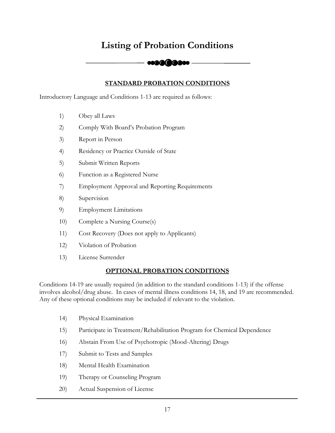# <span id="page-18-0"></span>Listing of Probation Conditions<br> **COOCOOO**

# **STANDARD PROBATION CONDITIONS**

Introductory Language and Conditions 1-13 are required as follows:

- 1) Obey all Laws
- 2) Comply With Board's Probation Program
- 3) Report in Person
- 4) Residency or Practice Outside of State
- 5) Submit Written Reports
- 6) Function as a Registered Nurse
- 7) Employment Approval and Reporting Requirements
- 8) Supervision
- 9) Employment Limitations
- 10) Complete a Nursing Course(s)
- 11) Cost Recovery (Does not apply to Applicants)
- 12) Violation of Probation
- 13) License Surrender

## **OPTIONAL PROBATION CONDITIONS**

Conditions 14-19 are usually required (in addition to the standard conditions 1-13) if the offense involves alcohol/drug abuse. In cases of mental illness conditions 14, 18, and 19 are recommended. Any of these optional conditions may be included if relevant to the violation.

- 14) Physical Examination
- 15) Participate in Treatment/Rehabilitation Program for Chemical Dependence
- 16) Abstain From Use of Psychotropic (Mood-Altering) Drugs
- 17) Submit to Tests and Samples
- 18) Mental Health Examination
- 19) Therapy or Counseling Program
- 20) Actual Suspension of License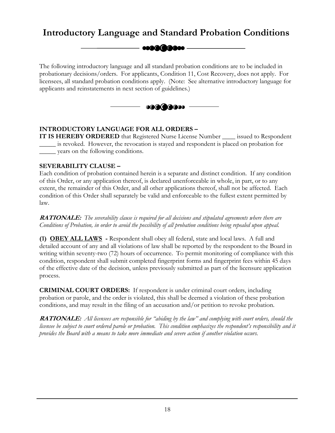# <span id="page-19-0"></span>**Introductory Language and Standard Probation Conditions**

**esaa(2000e** 

The following introductory language and all standard probation conditions are to be included in probationary decisions/orders. For applicants, Condition 11, Cost Recovery, does not apply. For licensees, all standard probation conditions apply. (Note: See alternative introductory language for applicants and reinstatements in next section of guidelines.)



# **INTRODUCTORY LANGUAGE FOR ALL ORDERS –**

**IT IS HEREBY ORDERED** that Registered Nurse License Number issued to Respondent \_\_\_\_\_ is revoked. However, the revocation is stayed and respondent is placed on probation for \_\_\_\_\_ years on the following conditions.

## **SEVERABILITY CLAUSE –**

Each condition of probation contained herein is a separate and distinct condition. If any condition of this Order, or any application thereof, is declared unenforceable in whole, in part, or to any extent, the remainder of this Order, and all other applications thereof, shall not be affected. Each condition of this Order shall separately be valid and enforceable to the fullest extent permitted by law.

**RATIONALE:** *The severability clause is required for all decisions and stipulated agreements where there are Conditions of Probation, in order to avoid the possibility of all probation conditions being repealed upon appeal.* 

**(1) OBEY ALL LAWS -** Respondent shall obey all federal, state and local laws. A full and detailed account of any and all violations of law shall be reported by the respondent to the Board in writing within seventy-two (72) hours of occurrence. To permit monitoring of compliance with this condition, respondent shall submit completed fingerprint forms and fingerprint fees within 45 days of the effective date of the decision, unless previously submitted as part of the licensure application process.

**CRIMINAL COURT ORDERS:** If respondent is under criminal court orders, including probation or parole, and the order is violated, this shall be deemed a violation of these probation conditions, and may result in the filing of an accusation and/or petition to revoke probation.

**RATIONALE:** *All licensees are responsible for "abiding by the law" and complying with court orders, should the licensee be subject to court ordered parole or probation. This condition emphasizes the respondent's responsibility and it provides the Board with a means to take more immediate and severe action if another violation occurs.*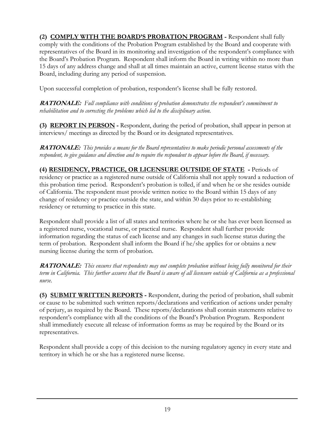**(2) COMPLY WITH THE BOARD'S PROBATION PROGRAM -** Respondent shall fully comply with the conditions of the Probation Program established by the Board and cooperate with representatives of the Board in its monitoring and investigation of the respondent's compliance with the Board's Probation Program. Respondent shall inform the Board in writing within no more than 15 days of any address change and shall at all times maintain an active, current license status with the Board, including during any period of suspension.

Upon successful completion of probation, respondent's license shall be fully restored.

**RATIONALE:** *Full compliance with conditions of probation demonstrates the respondent's commitment to rehabilitation and to correcting the problems which led to the disciplinary action.* 

**(3) REPORT IN PERSON -** Respondent, during the period of probation, shall appear in person at interviews/ meetings as directed by the Board or its designated representatives.

**RATIONALE:** *This provides a means for the Board representatives to make periodic personal assessments of the respondent, to give guidance and direction and to require the respondent to appear before the Board, if necessary.* 

**(4) RESIDENCY, PRACTICE, OR LICENSURE OUTSIDE OF STATE -** Periods of residency or practice as a registered nurse outside of California shall not apply toward a reduction of this probation time period. Respondent's probation is tolled, if and when he or she resides outside of California. The respondent must provide written notice to the Board within 15 days of any change of residency or practice outside the state, and within 30 days prior to re-establishing residency or returning to practice in this state.

Respondent shall provide a list of all states and territories where he or she has ever been licensed as a registered nurse, vocational nurse, or practical nurse. Respondent shall further provide information regarding the status of each license and any changes in such license status during the term of probation. Respondent shall inform the Board if he/she applies for or obtains a new nursing license during the term of probation.

**RATIONALE:** *This ensures that respondents may not complete probation without being fully monitored for their term in California. This further assures that the Board is aware of all licensure outside of California as a professional nurse.* 

**(5) SUBMIT WRITTEN REPORTS -** Respondent, during the period of probation, shall submit or cause to be submitted such written reports/declarations and verification of actions under penalty of perjury, as required by the Board. These reports/declarations shall contain statements relative to respondent's compliance with all the conditions of the Board's Probation Program. Respondent shall immediately execute all release of information forms as may be required by the Board or its representatives.

Respondent shall provide a copy of this decision to the nursing regulatory agency in every state and territory in which he or she has a registered nurse license.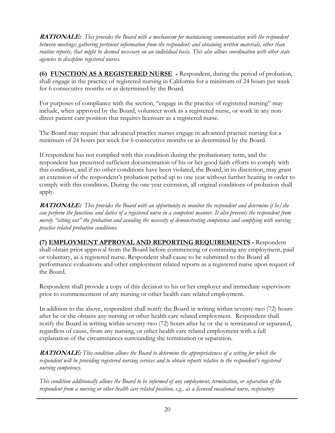**RATIONALE:** *This provides the Board with a mechanism for maintaining communication with the respondent between meetings; gathering pertinent information from the respondent; and obtaining written materials, other than routine reports, that might be deemed necessary on an individual basis. This also allows coordination with other state agencies to discipline registered nurses.* 

**(6) FUNCTION AS A REGISTERED NURSE -** Respondent, during the period of probation, shall engage in the practice of registered nursing in California for a minimum of 24 hours per week for 6 consecutive months or as determined by the Board.

For purposes of compliance with the section, "engage in the practice of registered nursing" may include, when approved by the Board, volunteer work as a registered nurse, or work in any nondirect patient care position that requires licensure as a registered nurse.

minimum of 24 hours per week for 6 consecutive months or as determined by the Board. The Board may require that advanced practice nurses engage in advanced practice nursing for a

If respondent has not complied with this condition during the probationary term, and the respondent has presented sufficient documentation of his or her good faith efforts to comply with this condition, and if no other conditions have been violated, the Board, in its discretion, may grant an extension of the respondent's probation period up to one year without further hearing in order to comply with this condition. During the one year extension, all original conditions of probation shall apply.

**RATIONALE:** *This provides the Board with an opportunity to monitor the respondent and determine if he/she can perform the functions and duties of a registered nurse in a competent manner. It also prevents the respondent from merely "sitting out" the probation and avoiding the necessity of demonstrating competence and complying with nursing practice related probation conditions.* 

## **(7) EMPLOYMENT APPROVAL AND REPORTING REQUIREMENTS -** Respondent shall obtain prior approval from the Board before commencing or continuing any employment, paid or voluntary, as a registered nurse. Respondent shall cause to be submitted to the Board all performance evaluations and other employment related reports as a registered nurse upon request of the Board.

Respondent shall provide a copy of this decision to his or her employer and immediate supervisors prior to commencement of any nursing or other health care related employment.

In addition to the above, respondent shall notify the Board in writing within seventy-two (72) hours after he or she obtains any nursing or other health care related employment. Respondent shall notify the Board in writing within seventy-two (72) hours after he or she is terminated or separated, regardless of cause, from any nursing, or other health care related employment with a full explanation of the circumstances surrounding the termination or separation.

**RATIONALE:** *This condition allows the Board to determine the appropriateness of a setting for which the respondent will be providing registered nursing services and to obtain reports relative to the respondent's registered nursing competency.* 

*This condition additionally allows the Board to be informed of any employment, termination, or separation of the respondent from a nursing or other health care related position, e.g., as a licensed vocational nurse, respiratory*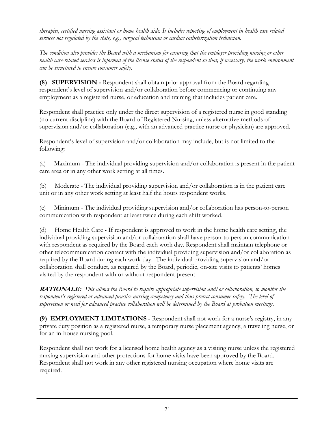*therapist, certified nursing assistant or home health aide. It includes reporting of employment in health care related services not regulated by the state, e.g., surgical technician or cardiac catheterization technician.* 

*The condition also provides the Board with a mechanism for ensuring that the employer providing nursing or other health care-related services is informed of the license status of the respondent so that, if necessary, the work environment can be structured to ensure consumer safety.* 

**(8) SUPERVISION -** Respondent shall obtain prior approval from the Board regarding respondent's level of supervision and/or collaboration before commencing or continuing any employment as a registered nurse, or education and training that includes patient care.

Respondent shall practice only under the direct supervision of a registered nurse in good standing (no current discipline) with the Board of Registered Nursing, unless alternative methods of supervision and/or collaboration (e.g., with an advanced practice nurse or physician) are approved.

Respondent's level of supervision and/or collaboration may include, but is not limited to the following:

(a) Maximum - The individual providing supervision and/or collaboration is present in the patient care area or in any other work setting at all times.

(b) Moderate - The individual providing supervision and/or collaboration is in the patient care unit or in any other work setting at least half the hours respondent works.

(c) Minimum - The individual providing supervision and/or collaboration has person-to-person communication with respondent at least twice during each shift worked.

(d) Home Health Care - If respondent is approved to work in the home health care setting, the individual providing supervision and/or collaboration shall have person-to-person communication with respondent as required by the Board each work day. Respondent shall maintain telephone or other telecommunication contact with the individual providing supervision and/or collaboration as required by the Board during each work day. The individual providing supervision and/or collaboration shall conduct, as required by the Board, periodic, on-site visits to patients' homes visited by the respondent with or without respondent present.

**RATIONALE:** *This allows the Board to require appropriate supervision and/or collaboration, to monitor the respondent's registered or advanced practice nursing competency and thus protect consumer safety. The level of supervision or need for advanced practice collaboration will be determined by the Board at probation meetings.* 

**(9) EMPLOYMENT LIMITATIONS -** Respondent shall not work for a nurse's registry, in any private duty position as a registered nurse, a temporary nurse placement agency, a traveling nurse, or for an in-house nursing pool.

Respondent shall not work for a licensed home health agency as a visiting nurse unless the registered nursing supervision and other protections for home visits have been approved by the Board. Respondent shall not work in any other registered nursing occupation where home visits are required.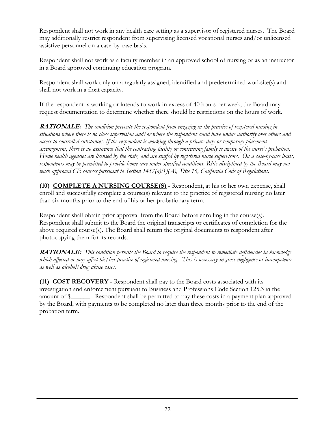Respondent shall not work in any health care setting as a supervisor of registered nurses. The Board may additionally restrict respondent from supervising licensed vocational nurses and/or unlicensed assistive personnel on a case-by-case basis.

Respondent shall not work as a faculty member in an approved school of nursing or as an instructor in a Board approved continuing education program.

Respondent shall work only on a regularly assigned, identified and predetermined worksite(s) and shall not work in a float capacity.

If the respondent is working or intends to work in excess of 40 hours per week, the Board may request documentation to determine whether there should be restrictions on the hours of work.

**RATIONALE:** *The condition prevents the respondent from engaging in the practice of registered nursing in situations where there is no close supervision and/or where the respondent could have undue authority over others and access to controlled substances. If the respondent is working through a private duty or temporary placement arrangement, there is no assurance that the contracting facility or contracting family is aware of the nurse's probation. Home health agencies are licensed by the state, and are staffed by registered nurse supervisors. On a case-by-case basis,*  respondents may be permitted to provide home care under specified conditions. RNs disciplined by the Board may not *teach approved CE courses pursuant to Section 1457(a)(1)(A), Title 16, California Code of Regulations.* 

 **(10) COMPLETE A NURSING COURSE(S) -** Respondent, at his or her own expense, shall enroll and successfully complete a course(s) relevant to the practice of registered nursing no later than six months prior to the end of his or her probationary term.

Respondent shall obtain prior approval from the Board before enrolling in the course(s). Respondent shall submit to the Board the original transcripts or certificates of completion for the above required course(s). The Board shall return the original documents to respondent after photocopying them for its records.

**RATIONALE:** *This condition permits the Board to require the respondent to remediate deficiencies in knowledge which affected or may affect his/her practice of registered nursing. This is necessary in gross negligence or incompetence as well as alcohol/drug abuse cases.* 

 **(11) COST RECOVERY -** Respondent shall pay to the Board costs associated with its investigation and enforcement pursuant to Business and Professions Code Section 125.3 in the amount of \$\_\_\_\_\_\_. Respondent shall be permitted to pay these costs in a payment plan approved by the Board, with payments to be completed no later than three months prior to the end of the probation term.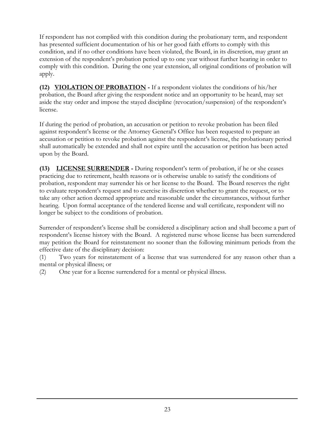If respondent has not complied with this condition during the probationary term, and respondent has presented sufficient documentation of his or her good faith efforts to comply with this condition, and if no other conditions have been violated, the Board, in its discretion, may grant an extension of the respondent's probation period up to one year without further hearing in order to comply with this condition. During the one year extension, all original conditions of probation will apply.

 **(12) VIOLATION OF PROBATION -** If a respondent violates the conditions of his/her probation, the Board after giving the respondent notice and an opportunity to be heard, may set aside the stay order and impose the stayed discipline (revocation/suspension) of the respondent's license.

If during the period of probation, an accusation or petition to revoke probation has been filed against respondent's license or the Attorney General's Office has been requested to prepare an accusation or petition to revoke probation against the respondent's license, the probationary period shall automatically be extended and shall not expire until the accusation or petition has been acted upon by the Board.

**(13) LICENSE SURRENDER -** During respondent's term of probation, if he or she ceases practicing due to retirement, health reasons or is otherwise unable to satisfy the conditions of probation, respondent may surrender his or her license to the Board. The Board reserves the right to evaluate respondent's request and to exercise its discretion whether to grant the request, or to take any other action deemed appropriate and reasonable under the circumstances, without further hearing. Upon formal acceptance of the tendered license and wall certificate, respondent will no longer be subject to the conditions of probation.

Surrender of respondent's license shall be considered a disciplinary action and shall become a part of respondent's license history with the Board. A registered nurse whose license has been surrendered may petition the Board for reinstatement no sooner than the following minimum periods from the effective date of the disciplinary decision:

(1) Two years for reinstatement of a license that was surrendered for any reason other than a mental or physical illness; or

(2) One year for a license surrendered for a mental or physical illness.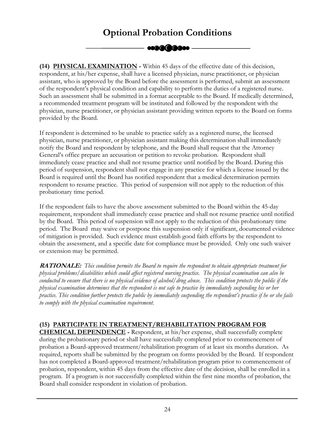# Optional Probation Conditions

<span id="page-25-0"></span> **(14) PHYSICAL EXAMINATION -** Within 45 days of the effective date of this decision, respondent, at his/her expense, shall have a licensed physician, nurse practitioner, or physician assistant, who is approved by the Board before the assessment is performed, submit an assessment of the respondent's physical condition and capability to perform the duties of a registered nurse. Such an assessment shall be submitted in a format acceptable to the Board. If medically determined, a recommended treatment program will be instituted and followed by the respondent with the physician, nurse practitioner, or physician assistant providing written reports to the Board on forms provided by the Board.

If respondent is determined to be unable to practice safely as a registered nurse, the licensed physician, nurse practitioner, or physician assistant making this determination shall immediately notify the Board and respondent by telephone, and the Board shall request that the Attorney General's office prepare an accusation or petition to revoke probation. Respondent shall immediately cease practice and shall not resume practice until notified by the Board. During this period of suspension, respondent shall not engage in any practice for which a license issued by the Board is required until the Board has notified respondent that a medical determination permits respondent to resume practice. This period of suspension will not apply to the reduction of this probationary time period.

If the respondent fails to have the above assessment submitted to the Board within the 45-day requirement, respondent shall immediately cease practice and shall not resume practice until notified by the Board. This period of suspension will not apply to the reduction of this probationary time period. The Board may waive or postpone this suspension only if significant, documented evidence of mitigation is provided. Such evidence must establish good faith efforts by the respondent to obtain the assessment, and a specific date for compliance must be provided. Only one such waiver or extension may be permitted.

 *physical problems/disabilities which could affect registered nursing practice. The physical examination can also be*  **RATIONALE:** *This condition permits the Board to require the respondent to obtain appropriate treatment for conducted to ensure that there is no physical evidence of alcohol/drug abuse. This condition protects the public if the physical examination determines that the respondent is not safe to practice by immediately suspending his or her practice. This condition further protects the public by immediately suspending the respondent's practice if he or she fails to comply with the physical examination requirement.* 

# **(15) PARTICIPATE IN TREATMENT/REHABILITATION PROGRAM FOR**

**CHEMICAL DEPENDENCE -** Respondent, at his/her expense, shall successfully complete during the probationary period or shall have successfully completed prior to commencement of probation a Board-approved treatment/rehabilitation program of at least six months duration. As required, reports shall be submitted by the program on forms provided by the Board. If respondent has not completed a Board-approved treatment/rehabilitation program prior to commencement of probation, respondent, within 45 days from the effective date of the decision, shall be enrolled in a program. If a program is not successfully completed within the first nine months of probation, the Board shall consider respondent in violation of probation.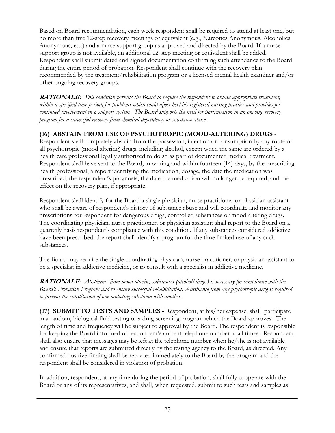Based on Board recommendation, each week respondent shall be required to attend at least one, but no more than five 12-step recovery meetings or equivalent (e.g., Narcotics Anonymous, Alcoholics Anonymous, etc.) and a nurse support group as approved and directed by the Board. If a nurse support group is not available, an additional 12-step meeting or equivalent shall be added. Respondent shall submit dated and signed documentation confirming such attendance to the Board during the entire period of probation. Respondent shall continue with the recovery plan recommended by the treatment/rehabilitation program or a licensed mental health examiner and/or other ongoing recovery groups.

**RATIONALE:** *This condition permits the Board to require the respondent to obtain appropriate treatment, within a specified time period, for problems which could affect her/his registered nursing practice and provides for continued involvement in a support system. The Board supports the need for participation in an ongoing recovery program for a successful recovery from chemical dependency or substance abuse.* 

# **(16) ABSTAIN FROM USE OF PSYCHOTROPIC (MOOD-ALTERING) DRUGS -**

Respondent shall completely abstain from the possession, injection or consumption by any route of all psychotropic (mood altering) drugs, including alcohol, except when the same are ordered by a health care professional legally authorized to do so as part of documented medical treatment. Respondent shall have sent to the Board, in writing and within fourteen (14) days, by the prescribing health professional, a report identifying the medication, dosage, the date the medication was prescribed, the respondent's prognosis, the date the medication will no longer be required, and the effect on the recovery plan, if appropriate.

Respondent shall identify for the Board a single physician, nurse practitioner or physician assistant who shall be aware of respondent's history of substance abuse and will coordinate and monitor any prescriptions for respondent for dangerous drugs, controlled substances or mood-altering drugs. The coordinating physician, nurse practitioner, or physician assistant shall report to the Board on a quarterly basis respondent's compliance with this condition. If any substances considered addictive have been prescribed, the report shall identify a program for the time limited use of any such substances.

The Board may require the single coordinating physician, nurse practitioner, or physician assistant to be a specialist in addictive medicine, or to consult with a specialist in addictive medicine.

**RATIONALE:** *Abstinence from mood altering substances (alcohol/drugs) is necessary for compliance with the Board's Probation Program and to ensure successful rehabilitation. Abstinence from any psychotropic drug is required to prevent the substitution of one addicting substance with another.* 

 **(17) SUBMIT TO TESTS AND SAMPLES -** Respondent, at his/her expense, shall participate in a random, biological fluid testing or a drug screening program which the Board approves. The length of time and frequency will be subject to approval by the Board. The respondent is responsible for keeping the Board informed of respondent's current telephone number at all times. Respondent shall also ensure that messages may be left at the telephone number when he/she is not available and ensure that reports are submitted directly by the testing agency to the Board, as directed. Any confirmed positive finding shall be reported immediately to the Board by the program and the respondent shall be considered in violation of probation.

In addition, respondent, at any time during the period of probation, shall fully cooperate with the Board or any of its representatives, and shall, when requested, submit to such tests and samples as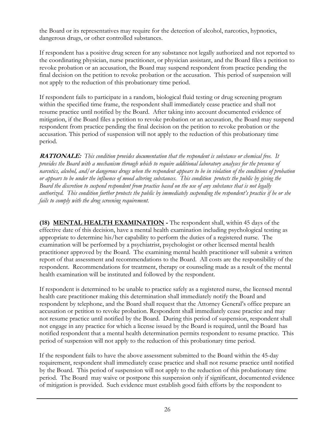the Board or its representatives may require for the detection of alcohol, narcotics, hypnotics, dangerous drugs, or other controlled substances.

If respondent has a positive drug screen for any substance not legally authorized and not reported to the coordinating physician, nurse practitioner, or physician assistant, and the Board files a petition to revoke probation or an accusation, the Board may suspend respondent from practice pending the final decision on the petition to revoke probation or the accusation. This period of suspension will not apply to the reduction of this probationary time period.

If respondent fails to participate in a random, biological fluid testing or drug screening program within the specified time frame, the respondent shall immediately cease practice and shall not resume practice until notified by the Board. After taking into account documented evidence of mitigation, if the Board files a petition to revoke probation or an accusation, the Board may suspend respondent from practice pending the final decision on the petition to revoke probation or the accusation. This period of suspension will not apply to the reduction of this probationary time period.

**RATIONALE:** *This condition provides documentation that the respondent is substance or chemical free. It provides the Board with a mechanism through which to require additional laboratory analyses for the presence of narcotics, alcohol, and/or dangerous drugs when the respondent appears to be in violation of the conditions of probation or appears to be under the influence of mood altering substances. This condition protects the public by giving the Board the discretion to suspend respondent from practice based on the use of any substance that is not legally authorized. This condition further protects the public by immediately suspending the respondent's practice if he or she fails to comply with the drug screening requirement.* 

 **(18) MENTAL HEALTH EXAMINATION -** The respondent shall, within 45 days of the effective date of this decision, have a mental health examination including psychological testing as appropriate to determine his/her capability to perform the duties of a registered nurse. The examination will be performed by a psychiatrist, psychologist or other licensed mental health practitioner approved by the Board. The examining mental health practitioner will submit a written report of that assessment and recommendations to the Board. All costs are the responsibility of the respondent. Recommendations for treatment, therapy or counseling made as a result of the mental health examination will be instituted and followed by the respondent.

If respondent is determined to be unable to practice safely as a registered nurse, the licensed mental health care practitioner making this determination shall immediately notify the Board and respondent by telephone, and the Board shall request that the Attorney General's office prepare an accusation or petition to revoke probation. Respondent shall immediately cease practice and may not resume practice until notified by the Board. During this period of suspension, respondent shall not engage in any practice for which a license issued by the Board is required, until the Board has notified respondent that a mental health determination permits respondent to resume practice. This period of suspension will not apply to the reduction of this probationary time period.

If the respondent fails to have the above assessment submitted to the Board within the 45-day requirement, respondent shall immediately cease practice and shall not resume practice until notified by the Board. This period of suspension will not apply to the reduction of this probationary time period. The Board may waive or postpone this suspension only if significant, documented evidence of mitigation is provided. Such evidence must establish good faith efforts by the respondent to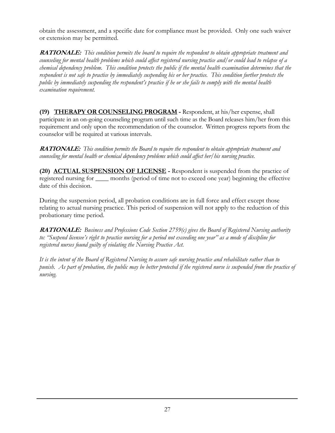<span id="page-28-0"></span>obtain the assessment, and a specific date for compliance must be provided. Only one such waiver or extension may be permitted.

**RATIONALE:** *This condition permits the board to require the respondent to obtain appropriate treatment and counseling for mental health problems which could affect registered nursing practice and/or could lead to relapse of a chemical dependency problem. This condition protects the public if the mental health examination determines that the respondent is not safe to practice by immediately suspending his or her practice. This condition further protects the public by immediately suspending the respondent's practice if he or she fails to comply with the mental health examination requirement.* 

**(19) THERAPY OR COUNSELING PROGRAM -** Respondent, at his/her expense, shall participate in an on-going counseling program until such time as the Board releases him/her from this requirement and only upon the recommendation of the counselor. Written progress reports from the counselor will be required at various intervals.

 *counseling for mental health or chemical dependency problems which could affect her/his nursing practice.* **RATIONALE:** *This condition permits the Board to require the respondent to obtain appropriate treatment and* 

 **(20) ACTUAL SUSPENSION OF LICENSE -** Respondent is suspended from the practice of registered nursing for \_\_\_\_ months (period of time not to exceed one year) beginning the effective date of this decision.

During the suspension period, all probation conditions are in full force and effect except those relating to actual nursing practice. This period of suspension will not apply to the reduction of this probationary time period.

**RATIONALE:** *Business and Professions Code Section 2759(c) gives the Board of Registered Nursing authority to: "Suspend licensee's right to practice nursing for a period not exceeding one year" as a mode of discipline for registered nurses found guilty of violating the Nursing Practice Act.* 

*It is the intent of the Board of Registered Nursing to assure safe nursing practice and rehabilitate rather than to punish. As part of probation, the public may be better protected if the registered nurse is suspended from the practice of nursing.*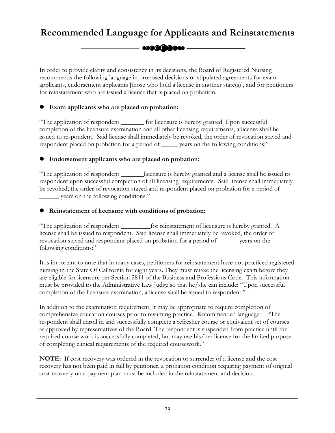# <span id="page-29-0"></span>**Recommended Language for Applicants and Reinstatements**

**esaa(2000e** 

In order to provide clarity and consistency in its decisions, the Board of Registered Nursing recommends the following language in proposed decisions or stipulated agreements for exam applicants, endorsement applicants [those who hold a license in another state(s)], and for petitioners for reinstatement who are issued a license that is placed on probation.

## **•** Exam applicants who are placed on probation:

"The application of respondent \_\_\_\_\_\_\_ for licensure is hereby granted. Upon successful completion of the licensure examination and all other licensing requirements, a license shall be issued to respondent. Said license shall immediately be revoked, the order of revocation stayed and respondent placed on probation for a period of \_\_\_\_\_ years on the following conditions:"

## **•** Endorsement applicants who are placed on probation:

"The application of respondent \_\_\_\_\_\_\_licensure is hereby granted and a license shall be issued to respondent upon successful completion of all licensing requirements. Said license shall immediately be revoked, the order of revocation stayed and respondent placed on probation for a period of \_\_\_\_\_\_ years on the following conditions:"

## **•** Reinstatement of licensure with conditions of probation:

"The application of respondent \_\_\_\_\_\_\_\_\_for reinstatement of licensure is hereby granted. A license shall be issued to respondent. Said license shall immediately be revoked, the order of revocation stayed and respondent placed on probation for a period of \_\_\_\_\_\_ years on the following conditions:"

It is important to note that in many cases, petitioners for reinstatement have not practiced registered nursing in the State Of California for eight years. They must retake the licensing exam before they are eligible for licensure per Section 2811 of the Business and Professions Code. This information must be provided to the Administrative Law Judge so that he/she can include: "Upon successful completion of the licensure examination, a license shall be issued to respondent."

In addition to the examination requirement, it may be appropriate to require completion of comprehensive education courses prior to resuming practice. Recommended language: "The respondent shall enroll in and successfully complete a refresher course or equivalent set of courses as approved by representatives of the Board. The respondent is suspended from practice until the required course work is successfully completed, but may use his/her license for the limited purpose of completing clinical requirements of the required coursework."

**NOTE:** If cost recovery was ordered in the revocation or surrender of a license and the cost recovery has not been paid in full by petitioner, a probation condition requiring payment of original cost recovery on a payment plan must be included in the reinstatement and decision.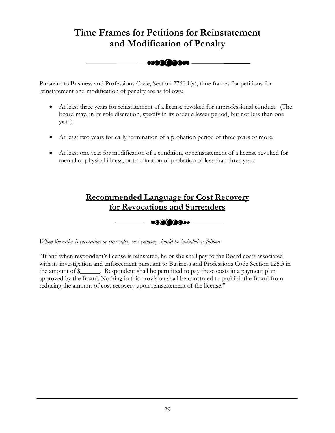# <span id="page-30-0"></span>and Modification of Fenarty<br>  $\overline{\bullet}$   $\overline{\bullet}$   $\overline{\bullet}$   $\overline{\bullet}$   $\overline{\bullet}$   $\overline{\bullet}$   $\overline{\bullet}$   $\overline{\bullet}$   $\overline{\bullet}$   $\overline{\bullet}$   $\overline{\bullet}$   $\overline{\bullet}$   $\overline{\bullet}$   $\overline{\bullet}$   $\overline{\bullet}$   $\overline{\bullet}$   $\overline{\bullet}$   $\overline{\bullet}$   $\overline{\bullet}$   $\overline{\bullet}$   $\overline{\bullet}$   $\overline$ **Time Frames for Petitions for Reinstatement and Modification of Penalty**

Pursuant to Business and Professions Code, Section 2760.1(a), time frames for petitions for reinstatement and modification of penalty are as follows:

- At least three years for reinstatement of a license revoked for unprofessional conduct. (The board may, in its sole discretion, specify in its order a lesser period, but not less than one year.)
- At least two years for early termination of a probation period of three years or more.
- At least one year for modification of a condition, or reinstatement of a license revoked for mental or physical illness, or termination of probation of less than three years.





*When the order is revocation or surrender, cost recovery should be included as follows:* 

"If and when respondent's license is reinstated, he or she shall pay to the Board costs associated with its investigation and enforcement pursuant to Business and Professions Code Section 125.3 in the amount of \$\_\_\_\_\_\_. Respondent shall be permitted to pay these costs in a payment plan approved by the Board. Nothing in this provision shall be construed to prohibit the Board from reducing the amount of cost recovery upon reinstatement of the license."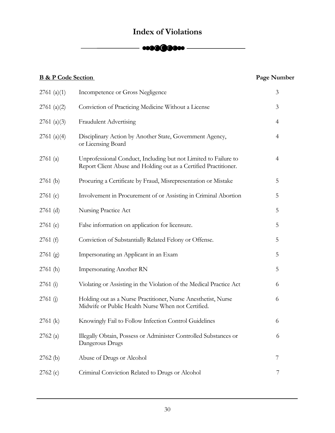# **Index of Violations**



<span id="page-31-0"></span>

| <b>B &amp; P Code Section</b> |                                                                                                                                     | Page Number    |
|-------------------------------|-------------------------------------------------------------------------------------------------------------------------------------|----------------|
| 2761 (a)(1)                   | Incompetence or Gross Negligence                                                                                                    | 3              |
| 2761 (a)(2)                   | Conviction of Practicing Medicine Without a License                                                                                 | $\mathfrak{Z}$ |
| 2761 (a)(3)                   | <b>Fraudulent Advertising</b>                                                                                                       | 4              |
| 2761 (a)(4)                   | Disciplinary Action by Another State, Government Agency,<br>or Licensing Board                                                      | $\overline{4}$ |
| 2761(a)                       | Unprofessional Conduct, Including but not Limited to Failure to<br>Report Client Abuse and Holding out as a Certified Practitioner. | $\overline{4}$ |
| $2761$ (b)                    | Procuring a Certificate by Fraud, Misrepresentation or Mistake                                                                      | 5              |
| 2761(c)                       | Involvement in Procurement of or Assisting in Criminal Abortion                                                                     | 5              |
| $2761$ (d)                    | Nursing Practice Act                                                                                                                | 5              |
| $2761$ (e)                    | False information on application for licensure.                                                                                     | 5              |
| 2761(f)                       | Conviction of Substantially Related Felony or Offense.                                                                              | 5              |
| $2761$ (g)                    | Impersonating an Applicant in an Exam                                                                                               | 5              |
| 2761(h)                       | <b>Impersonating Another RN</b>                                                                                                     | 5              |
| 2761(i)                       | Violating or Assisting in the Violation of the Medical Practice Act                                                                 | 6              |
| 2761(j)                       | Holding out as a Nurse Practitioner, Nurse Anesthetist, Nurse<br>Midwife or Public Health Nurse When not Certified.                 | 6              |
| $2761$ (k)                    | Knowingly Fail to Follow Infection Control Guidelines                                                                               | 6              |
| 2762(a)                       | Illegally Obtain, Possess or Administer Controlled Substances or<br>Dangerous Drugs                                                 | 6              |
| 2762(b)                       | Abuse of Drugs or Alcohol                                                                                                           | 7              |
| 2762(c)                       | Criminal Conviction Related to Drugs or Alcohol                                                                                     | 7              |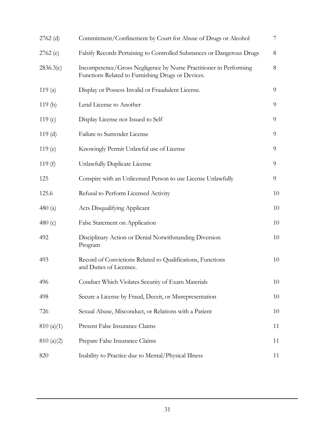| $2762$ (d) | Commitment/Confinement by Court for Abuse of Drugs or Alcohol                                                          | 7  |
|------------|------------------------------------------------------------------------------------------------------------------------|----|
| 2762(e)    | Falsify Records Pertaining to Controlled Substances or Dangerous Drugs                                                 | 8  |
| 2836.3(c)  | Incompetence/Gross Negligence by Nurse Practitioner in Performing<br>Functions Related to Furnishing Drugs or Devices. | 8  |
| 119(a)     | Display or Possess Invalid or Fraudulent License.                                                                      | 9  |
| 119(b)     | Lend License to Another                                                                                                | 9  |
| 119 $(c)$  | Display License not Issued to Self                                                                                     | 9  |
| 119(d)     | Failure to Surrender License                                                                                           | 9  |
| 119(e)     | Knowingly Permit Unlawful use of License                                                                               | 9  |
| 119 $(f)$  | Unlawfully Duplicate License                                                                                           | 9  |
| 125        | Conspire with an Unlicensed Person to use License Unlawfully                                                           | 9  |
| 125.6      | Refusal to Perform Licensed Activity                                                                                   | 10 |
| 480 $(a)$  | <b>Acts Disqualifying Applicant</b>                                                                                    | 10 |
| 480 $(c)$  | False Statement on Application                                                                                         | 10 |
| 492        | Disciplinary Action or Denial Notwithstanding Diversion<br>Program                                                     | 10 |
| 493        | Record of Convictions Related to Qualifications, Functions<br>and Duties of Licensee.                                  | 10 |
| 496        | Conduct Which Violates Security of Exam Materials                                                                      | 10 |
| 498        | Secure a License by Fraud, Deceit, or Misrepresentation                                                                | 10 |
| 726        | Sexual Abuse, Misconduct, or Relations with a Patient                                                                  | 10 |
| 810(a)(1)  | Present False Insurance Claims                                                                                         | 11 |
| 810(a)(2)  | Prepare False Insurance Claims                                                                                         | 11 |
| 820        | Inability to Practice due to Mental/Physical Illness                                                                   | 11 |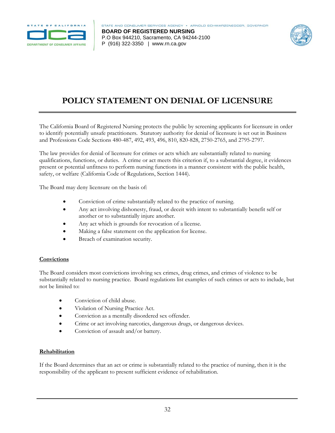<span id="page-33-0"></span>

 P (916) 322-3350 | <www.rn.ca.gov> **BOARD OF REGISTERED NURSING**  P.O Box 944210, Sacramento, CA 94244-2100



# **POLICY STATEMENT ON DENIAL OF LICENSURE**

The California Board of Registered Nursing protects the public by screening applicants for licensure in order to identify potentially unsafe practitioners. Statutory authority for denial of licensure is set out in Business and Professions Code Sections 480-487, 492, 493, 496, 810, 820-828, 2750-2765, and 2795-2797.

The law provides for denial of licensure for crimes or acts which are substantially related to nursing qualifications, functions, or duties. A crime or act meets this criterion if, to a substantial degree, it evidences present or potential unfitness to perform nursing functions in a manner consistent with the public health, safety, or welfare (California Code of Regulations, Section 1444).

The Board may deny licensure on the basis of:

- Conviction of crime substantially related to the practice of nursing.
- Any act involving dishonesty, fraud, or deceit with intent to substantially benefit self or another or to substantially injure another.
- Any act which is grounds for revocation of a license.
- Making a false statement on the application for license.
- Breach of examination security.

#### **Convictions**

The Board considers most convictions involving sex crimes, drug crimes, and crimes of violence to be substantially related to nursing practice. Board regulations list examples of such crimes or acts to include, but not be limited to:

- Conviction of child abuse.
- Violation of Nursing Practice Act.
- Conviction as a mentally disordered sex offender.
- Crime or act involving narcotics, dangerous drugs, or dangerous devices.
- Conviction of assault and/or battery.

#### **Rehabilitation**

If the Board determines that an act or crime is substantially related to the practice of nursing, then it is the responsibility of the applicant to present sufficient evidence of rehabilitation.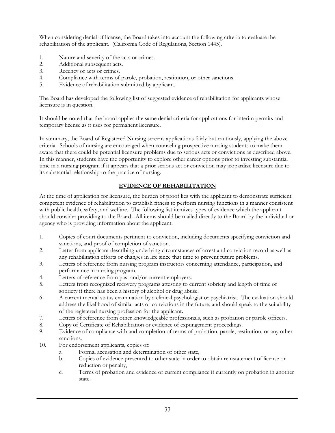When considering denial of license, the Board takes into account the following criteria to evaluate the rehabilitation of the applicant. (California Code of Regulations, Section 1445).

- 1. Nature and severity of the acts or crimes.
- 2. Additional subsequent acts.
- 3. Recency of acts or crimes.
- 4. Compliance with terms of parole, probation, restitution, or other sanctions.
- 5. Evidence of rehabilitation submitted by applicant.

The Board has developed the following list of suggested evidence of rehabilitation for applicants whose licensure is in question.

It should be noted that the board applies the same denial criteria for applications for interim permits and temporary license as it uses for permanent licensure.

In summary, the Board of Registered Nursing screens applications fairly but cautiously, applying the above criteria. Schools of nursing are encouraged when counseling prospective nursing students to make them aware that there could be potential licensure problems due to serious acts or convictions as described above. In this manner, students have the opportunity to explore other career options prior to investing substantial time in a nursing program if it appears that a prior serious act or conviction may jeopardize licensure due to its substantial relationship to the practice of nursing.

## **EVIDENCE OF REHABILITATION**

should consider providing to the Board. All items should be mailed directly to the Board by the individual or At the time of application for licensure, the burden of proof lies with the applicant to demonstrate sufficient competent evidence of rehabilitation to establish fitness to perform nursing functions in a manner consistent with public health, safety, and welfare. The following list itemizes types of evidence which the applicant agency who is providing information about the applicant.

- 1. Copies of court documents pertinent to conviction, including documents specifying conviction and sanctions, and proof of completion of sanction.
- 2. Letter from applicant describing underlying circumstances of arrest and conviction record as well as any rehabilitation efforts or changes in life since that time to prevent future problems.
- 3. Letters of reference from nursing program instructors concerning attendance, participation, and performance in nursing program.
- 4. Letters of reference from past and/or current employers.
- 5. Letters from recognized recovery programs attesting to current sobriety and length of time of sobriety if there has been a history of alcohol or drug abuse.
- 6. A current mental status examination by a clinical psychologist or psychiatrist. The evaluation should address the likelihood of similar acts or convictions in the future, and should speak to the suitability of the registered nursing profession for the applicant.
- 7. Letters of reference from other knowledgeable professionals, such as probation or parole officers.
- 8. Copy of Certificate of Rehabilitation or evidence of expungement proceedings.
- 9. Evidence of compliance with and completion of terms of probation, parole, restitution, or any other sanctions.
- 10. For endorsement applicants, copies of:
	- a. Formal accusation and determination of other state,
	- b. Copies of evidence presented to other state in order to obtain reinstatement of license or reduction or penalty,
	- c. Terms of probation and evidence of current compliance if currently on probation in another state.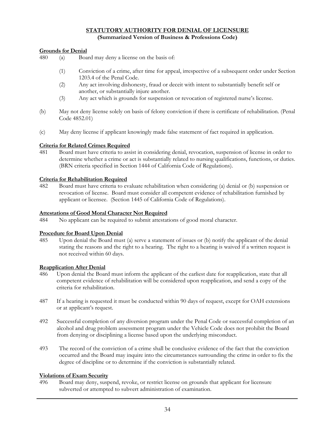### **STATUTORY AUTHORITY FOR DENIAL OF LICENSURE (Summarized Version of Business & Professions Code)**

#### **Grounds for Denial**

- 480 (a) Board may deny a license on the basis of:
	- (1) Conviction of a crime, after time for appeal, irrespective of a subsequent order under Section 1203.4 of the Penal Code.
	- (2) Any act involving dishonesty, fraud or deceit with intent to substantially benefit self or another, or substantially injure another.
	- (3) Any act which is grounds for suspension or revocation of registered nurse's license.
- (b) May not deny license solely on basis of felony conviction if there is certificate of rehabilitation. (Penal Code 4852.01)
- (c) May deny license if applicant knowingly made false statement of fact required in application.

#### **Criteria for Related Crimes Required**

481 Board must have criteria to assist in considering denial, revocation, suspension of license in order to determine whether a crime or act is substantially related to nursing qualifications, functions, or duties. (BRN criteria specified in Section 1444 of California Code of Regulations).

#### **Criteria for Rehabilitation Required**

482 Board must have criteria to evaluate rehabilitation when considering (a) denial or (b) suspension or revocation of license. Board must consider all competent evidence of rehabilitation furnished by applicant or licensee. (Section 1445 of California Code of Regulations).

#### **Attestations of Good Moral Character Not Required**

484 No applicant can be required to submit attestations of good moral character.

#### **Procedure for Board Upon Denial**

485 Upon denial the Board must (a) serve a statement of issues or (b) notify the applicant of the denial stating the reasons and the right to a hearing. The right to a hearing is waived if a written request is not received within 60 days.

#### **Reapplication After Denial**

- 486 Upon denial the Board must inform the applicant of the earliest date for reapplication, state that all competent evidence of rehabilitation will be considered upon reapplication, and send a copy of the criteria for rehabilitation.
- 487 If a hearing is requested it must be conducted within 90 days of request, except for OAH extensions or at applicant's request.
- 492 Successful completion of any diversion program under the Penal Code or successful completion of an alcohol and drug problem assessment program under the Vehicle Code does not prohibit the Board from denying or disciplining a license based upon the underlying misconduct.
- 493 The record of the conviction of a crime shall be conclusive evidence of the fact that the conviction occurred and the Board may inquire into the circumstances surrounding the crime in order to fix the degree of discipline or to determine if the conviction is substantially related.

#### **Violations of Exam Security**

496 Board may deny, suspend, revoke, or restrict license on grounds that applicant for licensure subverted or attempted to subvert administration of examination.